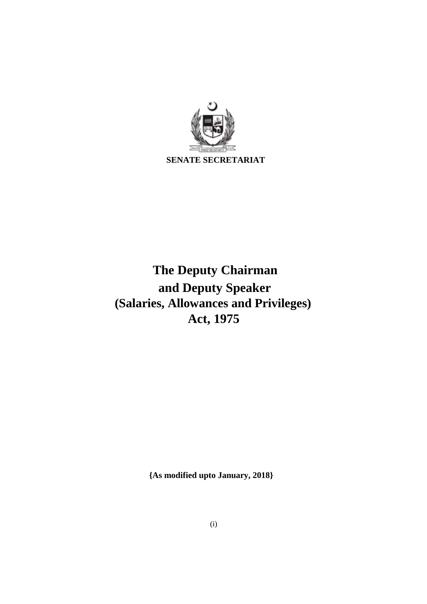

# **The Deputy Chairman and Deputy Speaker (Salaries, Allowances and Privileges) Act, 1975**

**{As modified upto January, 2018}**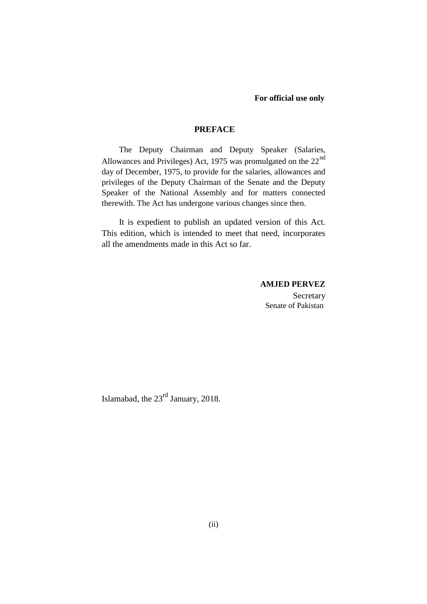#### **For official use only**

#### **PREFACE**

The Deputy Chairman and Deputy Speaker (Salaries, Allowances and Privileges) Act, 1975 was promulgated on the 22<sup>nd</sup> day of December, 1975, to provide for the salaries, allowances and privileges of the Deputy Chairman of the Senate and the Deputy Speaker of the National Assembly and for matters connected therewith. The Act has undergone various changes since then.

It is expedient to publish an updated version of this Act. This edition, which is intended to meet that need, incorporates all the amendments made in this Act so far.

## **AMJED PERVEZ**

**Secretary** Senate of Pakistan

Islamabad, the 23rd January, 2018.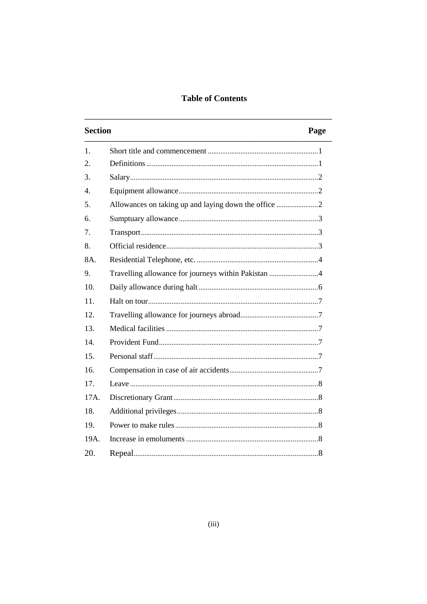# **Table of Contents**

| <b>Section</b>   |                                                     | Page |  |
|------------------|-----------------------------------------------------|------|--|
| 1.               |                                                     |      |  |
| 2.               |                                                     |      |  |
| 3.               |                                                     |      |  |
| $\overline{4}$ . |                                                     |      |  |
| 5.               |                                                     |      |  |
| 6.               |                                                     |      |  |
| 7.               |                                                     |      |  |
| 8.               |                                                     |      |  |
| 8A.              |                                                     |      |  |
| 9.               | Travelling allowance for journeys within Pakistan 4 |      |  |
| 10 <sub>1</sub>  |                                                     |      |  |
| 11.              |                                                     |      |  |
| 12.              |                                                     |      |  |
| 13.              |                                                     |      |  |
| 14.              |                                                     |      |  |
| 15.              |                                                     |      |  |
| 16.              |                                                     |      |  |
| 17.              |                                                     |      |  |
| 17A.             |                                                     |      |  |
| 18.              |                                                     |      |  |
| 19.              |                                                     |      |  |
| 19A.             |                                                     |      |  |
| 20.              |                                                     |      |  |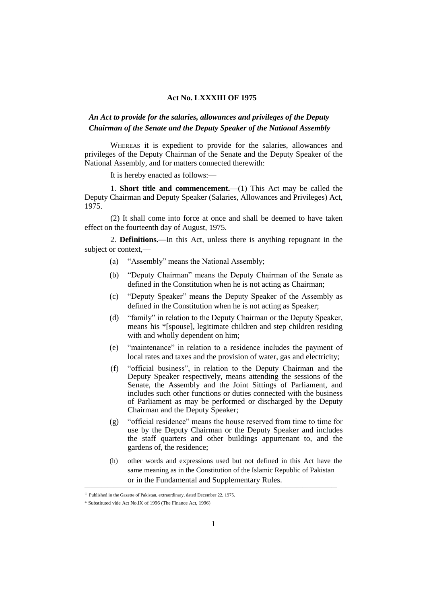#### **Act No. LXXXIII OF 1975**

## *An Act to provide for the salaries, allowances and privileges of the Deputy Chairman of the Senate and the Deputy Speaker of the National Assembly*

WHEREAS it is expedient to provide for the salaries, allowances and privileges of the Deputy Chairman of the Senate and the Deputy Speaker of the National Assembly, and for matters connected therewith:

It is hereby enacted as follows:—

1. **Short title and commencement.—**(1) This Act may be called the Deputy Chairman and Deputy Speaker (Salaries, Allowances and Privileges) Act, 1975.

(2) It shall come into force at once and shall be deemed to have taken effect on the fourteenth day of August, 1975.

2. **Definitions.—**In this Act, unless there is anything repugnant in the subject or context,—

- (a) "Assembly" means the National Assembly;
- (b) "Deputy Chairman" means the Deputy Chairman of the Senate as defined in the Constitution when he is not acting as Chairman;
- (c) "Deputy Speaker" means the Deputy Speaker of the Assembly as defined in the Constitution when he is not acting as Speaker;
- (d) "family" in relation to the Deputy Chairman or the Deputy Speaker, means his \*[spouse], legitimate children and step children residing with and wholly dependent on him;
- (e) "maintenance" in relation to a residence includes the payment of local rates and taxes and the provision of water, gas and electricity;
- (f) "official business", in relation to the Deputy Chairman and the Deputy Speaker respectively, means attending the sessions of the Senate, the Assembly and the Joint Sittings of Parliament, and includes such other functions or duties connected with the business of Parliament as may be performed or discharged by the Deputy Chairman and the Deputy Speaker;
- (g) "official residence" means the house reserved from time to time for use by the Deputy Chairman or the Deputy Speaker and includes the staff quarters and other buildings appurtenant to, and the gardens of, the residence;
- (h) other words and expressions used but not defined in this Act have the same meaning as in the Constitution of the Islamic Republic of Pakistan or in the Fundamental and Supplementary Rules.

<sup>†</sup> Published in the Gazette of Pakistan, extraordinary, dated December 22, 1975.

<sup>\*</sup> Substituted vide Act No.IX of 1996 (The Finance Act, 1996)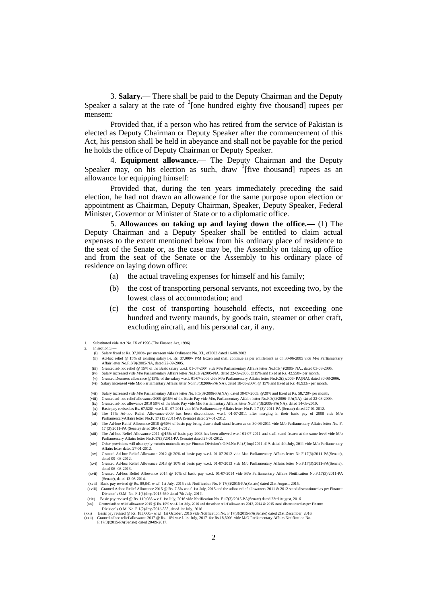3. **Salary.—** There shall be paid to the Deputy Chairman and the Deputy Speaker a salary at the rate of  $2$ [one hundred eighty five thousand] rupees per mensem:

Provided that, if a person who has retired from the service of Pakistan is elected as Deputy Chairman or Deputy Speaker after the commencement of this Act, his pension shall be held in abeyance and shall not be payable for the period he holds the office of Deputy Chairman or Deputy Speaker.

4. **Equipment allowance.—** The Deputy Chairman and the Deputy Speaker may, on his election as such, draw  $\frac{1}{1}$  five thousand] rupees as an allowance for equipping himself:

Provided that, during the ten years immediately preceding the said election, he had not drawn an allowance for the same purpose upon election or appointment as Chairman, Deputy Chairman, Speaker, Deputy Speaker, Federal Minister, Governor or Minister of State or to a diplomatic office.

5. **Allowances on taking up and laying down the office.—** (1) The Deputy Chairman and a Deputy Speaker shall be entitled to claim actual expenses to the extent mentioned below from his ordinary place of residence to the seat of the Senate or, as the case may be, the Assembly on taking up office and from the seat of the Senate or the Assembly to his ordinary place of residence on laying down office:

- (a) the actual traveling expenses for himself and his family;
- (b) the cost of transporting personal servants, not exceeding two, by the lowest class of accommodation; and
- (c) the cost of transporting household effects, not exceeding one hundred and twenty maunds, by goods train, steamer or other craft, excluding aircraft, and his personal car, if any.

(iii) Granted ad-hoc relief @ 15% of the Basic salary w.e.f. 01-07-2004 vide M/o Parliamentary Affairs letter No.F.3(4)/2005- NA., dated 03-03-2005.

————————————————————————————————————————————

(iv) Salary increased vide M/o Parliamentary Affairs letter No.F.3(9)2005-NA, dated 22-09-2005, @15% and fixed at Rs. 42,550/- per month.

<sup>1.</sup> Substituted vide Act No. IX of 1996 (The Finance Act, 1996) In section 3,

<sup>(</sup>i) Salary fixed at Rs. 37,000b- per mcnsem vide Ordinance No. XI., of2002 dated 16-08-2002

<sup>(</sup>ii) Ad-hoc relief @ 15% of existing salary i.e. Rs. 37,000/- P/M frozen and shall continue as per entitlement as on 30-06-2005 vide M/o Parliame Affair letter No.F.3(9)/2005-NA, dated 22-09-2005.

Granted Dearness allowance @15%, of the salary w.e.f. 01-07-2006 vide M/o Parliamentary Affairs letter No.F.3(3)2006- PA(NA). dated 30-08-2006. (vi) Salary increased vide M/o Parliamentary Affairs letter No.F.3(3)2006-PA(NA), dated 18-08-2007, @ 15% and fixed at Rs: 48,933/- per month.

<sup>(</sup>vii) Salary increased vide M/o Parliamentary Affairs letter No. F.3(3)/2006-PA(NA), dated 30-07-2005. @20% and fixed at Rs. 58,720/- per month.

<sup>(</sup>viii) Granted ad-hoc relief allowance 2009 @15% of the Basic Pay vide M/o, Parliamentary Affairs letter No.F.3(3)/2006- PA(NA). dated 22-08-2009.<br>(ix) Granted ad-hoc allowance 2010 50% of the Basic Pay vide M/o Parliament ParliamentaryAffairs letter No.F. 17 (13)/2011-PA (Senate) dated 27-01-2012.

<sup>(</sup>xii) The Ad-hoe Relief Allowance-2010 @50% of basic pay being drawn shall stand frozen as on 30-06-2011 vide M/o Parliamentary Affairs letter No. F. 17 (3)/2011-PA (Senate) dated 20-01-2012.

<sup>(</sup>xiii) The Ad-hoc Relief Allowance-2011 @15% of basic pay 2008 has been allowed w.e.f 01-07-2011 and shall stand frozen at the same level vide M/o Parliamentary Affairs letter No.F.17(3)/2011-PA (Senate) dated 27-01-2012.

<sup>(</sup>xiv) Other provisions will also apply matatis mutandis as per Finance Division's O.M.No.F.1(5)Imp12011419. dated 4th July, 2011 vide M/o Parliamentary Affairs letter dated 27-01-2012.

<sup>(</sup>xv) Granted Ad-hoc Relief Allowance 2012 @ 20% of basic pay w.e.f. 01-07-2012 vide M/o Parliamentary Affairs letter No.F.17(3)/2011-PA(Senate), dated 09- 08-2012. (xvi) Granted Ad-hoc Relief Allowance 2013 @ 10% of basic pay w.e.f. 01-07-2013 vide M/o Parliamentary Affairs letter No.F.17(3)/2011-PA(Senate),

dated 06- 08-2013. (xvii) Granted Ad-hoc Relief Allowance 2014 @ 10% of basic pay w.e.f. 01-07-2014 vide M/o Parliamentary Affairs Notification No.F.17(3)/2011-PA

<sup>(</sup>Senate), dated 13-08-2014. (xvii) Basic pay revised @ Rs. 89,841 w.e.f. 1st July, 2015 vide Notification No. F.17(3)/2015-PA(Senate) dated 21st August, 2015.

<sup>(</sup>xviii) Granted Adhoc Relief Allowance 2015 @ Rs. 7.5% w.e.f. 1st July, 2015 and the adhoc relief allowances 2011 & 2012 stand discontinued as per Finance Division's O.M. No. F.1(3)/Imp/2015630 dated 7th July, 2015.

<sup>(</sup>xix) Basic pay revised @ Rs. 110,085 w.e.f. 1st July, 2016 vide Notification No. F.17(3)/2015-PA(Senate) dated 23rd August, 2016.<br>(xx) Granted adhoc relief allowance 2015 @ Rs. 10% w.e.f. 1st July, 2016 and the adhoc reli

Division's O.M. No. F. 1(2)/Imp/2016-333, dated 1st July, 2016.<br>(xxi) Basic pay revised @ Rs. 185,000/- w.e.f. 1st October, 2016 vide Notification No. F.17(3)/2015-PA(Senate) dated 21st December, 2016.<br>(xxii) Granted adhoc F.17(3)/2015-PA(Senate) dated 20-09-2017.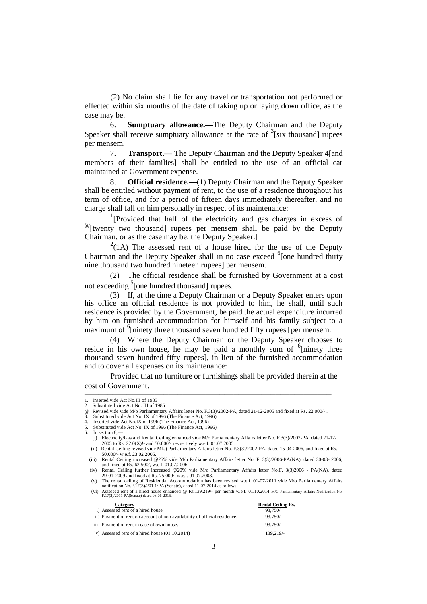(2) No claim shall lie for any travel or transportation not performed or effected within six months of the date of taking up or laying down office, as the case may be.

6. **Sumptuary allowance.—**The Deputy Chairman and the Deputy Speaker shall receive sumptuary allowance at the rate of  $\frac{3}{1}$  six thousand] rupees per mensem.

7. **Transport.—** The Deputy Chairman and the Deputy Speaker 4[and members of their families] shall be entitled to the use of an official car maintained at Government expense.

8. **Official residence.—**(1) Deputy Chairman and the Deputy Speaker shall be entitled without payment of rent, to the use of a residence throughout his term of office, and for a period of fifteen days immediately thereafter, and no charge shall fall on him personally in respect of its maintenance:

<sup>1</sup>[Provided that half of the electricity and gas charges in excess of @[twenty two thousand] rupees per mensem shall be paid by the Deputy Chairman, or as the case may be, the Deputy Speaker.]

 $^{2}(1A)$  The assessed rent of a house hired for the use of the Deputy Chairman and the Deputy Speaker shall in no case exceed <sup>6</sup>[one hundred thirty nine thousand two hundred nineteen rupees] per mensem.

(2) The official residence shall be furnished by Government at a cost not exceeding <sup>5</sup>[one hundred thousand] rupees.

(3) If, at the time a Deputy Chairman or a Deputy Speaker enters upon his office an official residence is not provided to him, he shall, until such residence is provided by the Government, be paid the actual expenditure incurred by him on furnished accommodation for himself and his family subject to a maximum of <sup>6</sup>[ninety three thousand seven hundred fifty rupees] per mensem.

(4) Where the Deputy Chairman or the Deputy Speaker chooses to reside in his own house, he may be paid a monthly sum of  $6$ [ninety three thousand seven hundred fifty rupees], in lieu of the furnished accommodation and to cover all expenses on its maintenance:

Provided that no furniture or furnishings shall be provided therein at the cost of Government.

**Category Rental Ceiling Rs.** i) Assessed rent of a hired house  $93.750/$ 

| ii) Payment of rent on account of non availability of official residence. | $93.750/-$ |
|---------------------------------------------------------------------------|------------|
| iii) Payment of rent in case of own house.                                | $93.750/-$ |
| iv) Assessed rent of a hired house (01.10.2014)                           | 139.219/   |

<sup>1.</sup> Inserted vide Act No.III of 1985<br>2. Substituted vide Act No. III of 1

<sup>2</sup> Substituted vide Act No. III of 1985<br>
@ Revised vide vide M/o Parliamentar Bevised vide vide M/o Parliamentary Affairs letter No. F.3(3)/2002-PA, dated 21-12-2005 and fixed at Rs. 22,000/-<br>Substituted vide Act No. IX of 1996 (The Finance Act, 1996)

<sup>3.</sup> Substituted vide Act No. IX of 1996 (The Finance Act, 1996) 4. Inserted vide Act No.IX of 1996 (The Finance Act, 1996)

Substituted vide Act No. IX of 1996 (The Finance Act, 1996)

In section 8,-

<sup>(</sup>i) Electricity/Gas and Rental Ceiling enhanced vide M/o Parliamentary Affairs letter No. F.3(3)/2002-PA, dated 21-12- 2005 to Rs. 22.0(X)!- and 50.000/- respectively w.e.f. 01.07.2005.

<sup>(</sup>ii) Rental Ceiling revised vide Mk.) Parliamentary Affairs letter No. F.3(3)/2002-PA, dated 15-04-2006, and fixed at Rs. 50,000/- w.e.f. 23.02.2005. (iii) Rental Ceiling increased @25% vide M/o Parliamentary Affairs letter No. F. 3(3)/2006-PA(NA), dated 30-08- 2006,

and fixed at Rs. 62,500/, w.e.f. 01.07.2006. (iv) Rental Ceiling further increased @20% vide M/o Parliamentary Affairs letter No.F. 3(3)2006 - PA(NA), dated

<sup>29-01-2009</sup> and fixed at Rs. 75,000/, w.e.f. 01.07.2008. (v) The rental ceiling of Residential Accommodation has been revised w.e.f. 01-07-2011 vide M/o Parliamentary Affairs

notification No.F. $17(3)/201$  1/PA (Senate), dated 11-07-2014 as follows: (vi) Assessed rent of a hired house enhanced @ Rs.139,219/- per month w.e.f. 01.10.2014 M/O Parliamentary Affairs Notification No. F.17(2)/2011-PA(Senate) dated 08-06-2015.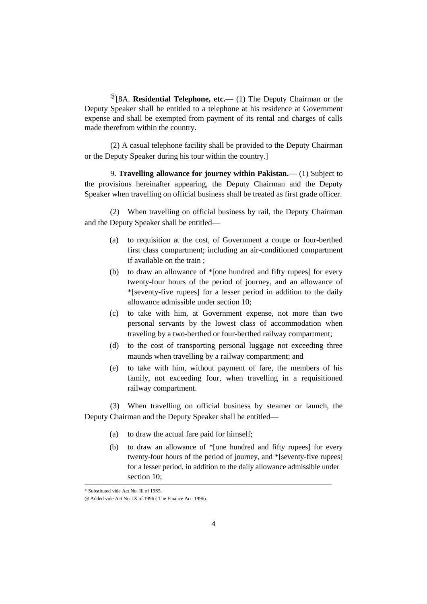@[8A. **Residential Telephone, etc.—** (1) The Deputy Chairman or the Deputy Speaker shall be entitled to a telephone at his residence at Government expense and shall be exempted from payment of its rental and charges of calls made therefrom within the country.

(2) A casual telephone facility shall be provided to the Deputy Chairman or the Deputy Speaker during his tour within the country.]

9. **Travelling allowance for journey within Pakistan.—** (1) Subject to the provisions hereinafter appearing, the Deputy Chairman and the Deputy Speaker when travelling on official business shall be treated as first grade officer.

(2) When travelling on official business by rail, the Deputy Chairman and the Deputy Speaker shall be entitled—

- (a) to requisition at the cost, of Government a coupe or four-berthed first class compartment; including an air-conditioned compartment if available on the train ;
- (b) to draw an allowance of \*[one hundred and fifty rupees] for every twenty-four hours of the period of journey, and an allowance of \*[seventy-five rupees] for a lesser period in addition to the daily allowance admissible under section 10;
- (c) to take with him, at Government expense, not more than two personal servants by the lowest class of accommodation when traveling by a two-berthed or four-berthed railway compartment;
- (d) to the cost of transporting personal luggage not exceeding three maunds when travelling by a railway compartment; and
- (e) to take with him, without payment of fare, the members of his family, not exceeding four, when travelling in a requisitioned railway compartment.

(3) When travelling on official business by steamer or launch, the Deputy Chairman and the Deputy Speaker shall be entitled—

- (a) to draw the actual fare paid for himself;
- (b) to draw an allowance of \*[one hundred and fifty rupees] for every twenty-four hours of the period of journey, and \*[seventy-five rupees] for a lesser period, in addition to the daily allowance admissible under section 10:

<sup>\*</sup> Substituted vide Act No. Ill of 19S5.

<sup>@</sup> Added vide Act No. IX of 1996 ( The Finance Act. 1996).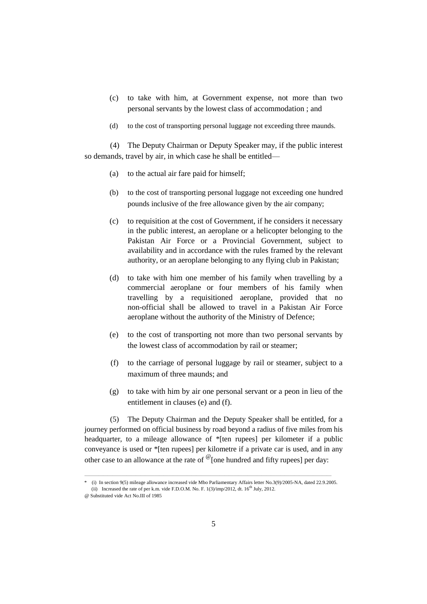- (c) to take with him, at Government expense, not more than two personal servants by the lowest class of accommodation ; and
- (d) to the cost of transporting personal luggage not exceeding three maunds.

(4) The Deputy Chairman or Deputy Speaker may, if the public interest so demands, travel by air, in which case he shall be entitled—

- (a) to the actual air fare paid for himself;
- (b) to the cost of transporting personal luggage not exceeding one hundred pounds inclusive of the free allowance given by the air company;
- (c) to requisition at the cost of Government, if he considers it necessary in the public interest, an aeroplane or a helicopter belonging to the Pakistan Air Force or a Provincial Government, subject to availability and in accordance with the rules framed by the relevant authority, or an aeroplane belonging to any flying club in Pakistan;
- (d) to take with him one member of his family when travelling by a commercial aeroplane or four members of his family when travelling by a requisitioned aeroplane, provided that no non-official shall be allowed to travel in a Pakistan Air Force aeroplane without the authority of the Ministry of Defence;
- (e) to the cost of transporting not more than two personal servants by the lowest class of accommodation by rail or steamer;
- (f) to the carriage of personal luggage by rail or steamer, subject to a maximum of three maunds; and
- (g) to take with him by air one personal servant or a peon in lieu of the entitlement in clauses (e) and (f).

(5) The Deputy Chairman and the Deputy Speaker shall be entitled, for a journey performed on official business by road beyond a radius of five miles from his headquarter, to a mileage allowance of \*[ten rupees] per kilometer if a public conveyance is used or \*[ten rupees] per kilometre if a private car is used, and in any other case to an allowance at the rate of  $\mathcal{O}$  [one hundred and fifty rupees] per day:

<sup>—————————————————————————————————————————————————————</sup> \* (i) In section 9(5) mileage allowance increased vide Mbo Parliamentary Affairs letter No.3(9)/2005-NA, dated 22.9.2005. (ii) Increased the rate of per k.m. vide F.D.O.M. No. F.  $1(3)/imp/2012$ , dt.  $16<sup>th</sup>$  July, 2012.

<sup>@</sup> Substituted vide Act No.III of 1985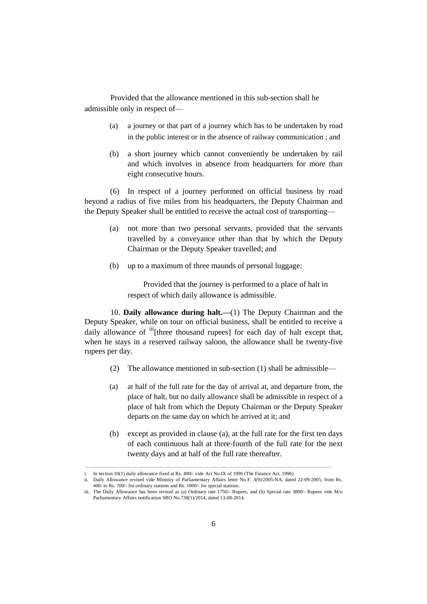Provided that the allowance mentioned in this sub-section shall he admissible only in respect of—

- (a) a journey or that part of a journey which has to be undertaken by road in the public interest or in the absence of railway communication ; and
- (b) a short journey which cannot conveniently be undertaken by rail and which involves in absence from headquarters for more than eight consecutive hours.

(6) In respect of a journey performed on official business by road beyond a radius of five miles from his headquarters, the Deputy Chairman and the Deputy Speaker shall be entitled to receive the actual cost of transporting—

- (a) not more than two personal servants, provided that the servants travelled by a conveyance other than that by which the Deputy Chairman or the Deputy Speaker travelled; and
- (b) up to a maximum of three maunds of personal luggage:

Provided that the journey is performed to a place of halt in respect of which daily allowance is admissible.

10. **Daily allowance during halt.—**(1) The Deputy Chairman and the Deputy Speaker, while on tour on official business, shall be entitled to receive a daily allowance of  $\frac{iii}{b}$  [three thousand rupees] for each day of halt except that, when he stays in a reserved railway saloon, the allowance shall be twenty-five rupees per day.

- (2) The allowance mentioned in sub-section (1) shall be admissible—
- (a) at half of the full rate for the day of arrival at, and departure from, the place of halt, but no daily allowance shall be admissible in respect of a place of halt from which the Deputy Chairman or the Deputy Speaker departs on the same day on which he arrived at it; and
- (b) except as provided in clause (a), at the full rate for the first ten days of each continuous halt at three-fourth of the full rate for the next twenty days and at half of the full rate thereafter.

In section 10(1) daily allowance fixed at Rs. 400/- vide Act No.IX of 1996 (The Finance Act, 1996)

ii. Daily Allowance revised vide Ministry of Parliamentary Affairs letter No.F. 3(9)/2005-NA, dated 22-09-2005, from Rs. 400- to Rs. 700/- for ordinary stations and Rs. 1000/- for special stations.

iii. The Daily Allowance has been revised as (a) Ordinary rate 1750/- Rupees, and (b) Special rate 3000/- Rupees vide M/o Parliamentary Affairs notification SRO No.738(1)/2014, dated 13-08-2014.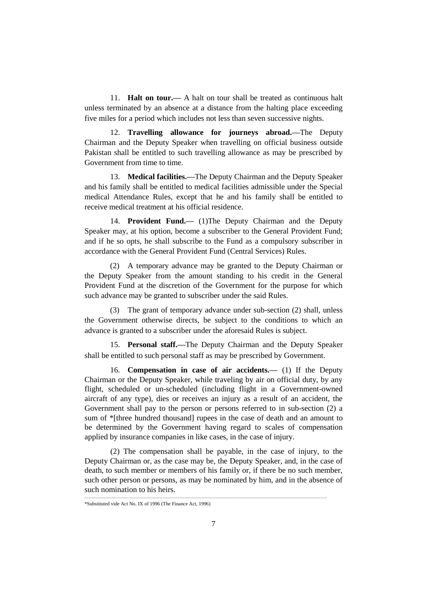11. **Halt on tour.—** A halt on tour shall be treated as continuous halt unless terminated by an absence at a distance from the halting place exceeding five miles for a period which includes not less than seven successive nights.

12. **Travelling allowance for journeys abroad.—**The Deputy Chairman and the Deputy Speaker when travelling on official business outside Pakistan shall be entitled to such travelling allowance as may be prescribed by Government from time to time.

13. **Medical facilities.—**The Deputy Chairman and the Deputy Speaker and his family shall be entitled to medical facilities admissible under the Special medical Attendance Rules, except that he and his family shall be entitled to receive medical treatment at his official residence.

14. **Provident Fund.—** (1)The Deputy Chairman and the Deputy Speaker may, at his option, become a subscriber to the General Provident Fund; and if he so opts, he shall subscribe to the Fund as a compulsory subscriber in accordance with the General Provident Fund (Central Services) Rules.

(2) A temporary advance may be granted to the Deputy Chairman or the Deputy Speaker from the amount standing to his credit in the General Provident Fund at the discretion of the Government for the purpose for which such advance may be granted to subscriber under the said Rules.

(3) The grant of temporary advance under sub-section (2) shall, unless the Government otherwise directs, be subject to the conditions to which an advance is granted to a subscriber under the aforesaid Rules is subject.

15. **Personal staff.—**The Deputy Chairman and the Deputy Speaker shall be entitled to such personal staff as may be prescribed by Government.

16. **Compensation in case of air accidents.—** (1) If the Deputy Chairman or the Deputy Speaker, while traveling by air on official duty, by any flight, scheduled or un-scheduled (including flight in a Government-owned aircraft of any type), dies or receives an injury as a result of an accident, the Government shall pay to the person or persons referred to in sub-section (2) a sum of \*[three hundred thousand] rupees in the case of death and an amount to be determined by the Government having regard to scales of compensation applied by insurance companies in like cases, in the case of injury.

(2) The compensation shall be payable, in the case of injury, to the Deputy Chairman or, as the case may be, the Deputy Speaker, and, in the case of death, to such member or members of his family or, if there be no such member, such other person or persons, as may be nominated by him, and in the absence of such nomination to his heirs.

<sup>\*</sup>Substituted vide Act No. IX of 1996 (The Finance Act, 1996)